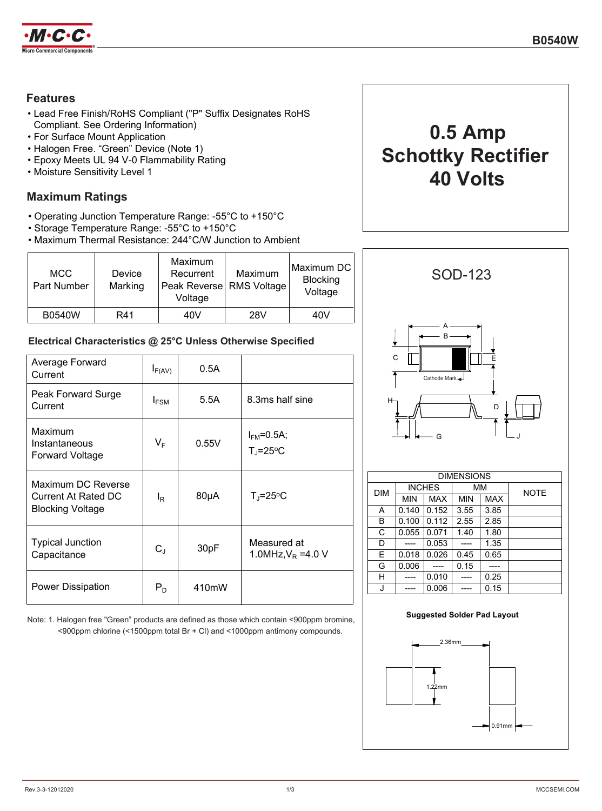

## **Features**

- Lead Free Finish/RoHS Compliant ("P" Suffix Designates RoHS Compliant. See Ordering Information)
- For Surface Mount Application
- Halogen Free. "Green" Device (Note 1)
- Epoxy Meets UL 94 V-0 Flammability Rating
- Moisture Sensitivity Level 1

# **Maximum Ratings**

- Operating Junction Temperature Range: -55°C to +150°C
- Storage Temperature Range: -55°C to +150°C
- Maximum Thermal Resistance: 244°C/W Junction to Ambient

| <b>MCC</b><br>Part Number | Device<br>Marking | Maximum<br>Recurrent<br>Peak Reverse RMS Voltage<br>Voltage | Maximum | Maximum DC<br><b>Blocking</b><br>Voltage |
|---------------------------|-------------------|-------------------------------------------------------------|---------|------------------------------------------|
| <b>B0540W</b>             | R41               | 40V                                                         | 28V     | 40V                                      |

## **Electrical Characteristics @ 25°C Unless Otherwise Specified**

| Average Forward<br>Current                                           | $I_{F(AV)}$      | 0.5A      |                                     |
|----------------------------------------------------------------------|------------------|-----------|-------------------------------------|
| Peak Forward Surge<br>Current                                        | $I_{FSM}$        | 5.5A      | 8.3ms half sine                     |
| Maximum<br>Instantaneous<br><b>Forward Voltage</b>                   | $V_F$            | 0.55V     | $IFM=0.5A;$<br>$T_{\rm J}$ =25°C    |
| Maximum DC Reverse<br>Current At Rated DC<br><b>Blocking Voltage</b> | $I_{\mathsf{R}}$ | $80\mu A$ | $T_{\rm J}$ =25°C                   |
| <b>Typical Junction</b><br>Capacitance                               | $C_{J}$          | 30pF      | Measured at<br>1.0MHz, $V_R$ =4.0 V |
| Power Dissipation                                                    | $P_D$            | 410mW     |                                     |

**Suggested Solder Pad Layout** Note: 1. Halogen free "Green" products are defined as those which contain <900ppm bromine, <900ppm chlorine (<1500ppm total Br + Cl) and <1000ppm antimony compounds.





| <b>DIMENSIONS</b> |               |       |            |            |             |
|-------------------|---------------|-------|------------|------------|-------------|
| <b>DIM</b>        | <b>INCHES</b> |       | MМ         |            | <b>NOTE</b> |
|                   | MIN           | MAX   | <b>MIN</b> | <b>MAX</b> |             |
| A                 | 0.140         | 0.152 | 3.55       | 3.85       |             |
| В                 | 0.100         | 0.112 | 2.55       | 2.85       |             |
| C                 | 0.055         | 0.071 | 1.40       | 1.80       |             |
| D                 |               | 0.053 |            | 1.35       |             |
| E                 | 0.018         | 0.026 | 0.45       | 0.65       |             |
| G                 | 0.006         |       | 0.15       |            |             |
| н                 |               | 0.010 |            | 0.25       |             |
| J                 |               | 0.006 |            | 0.15       |             |

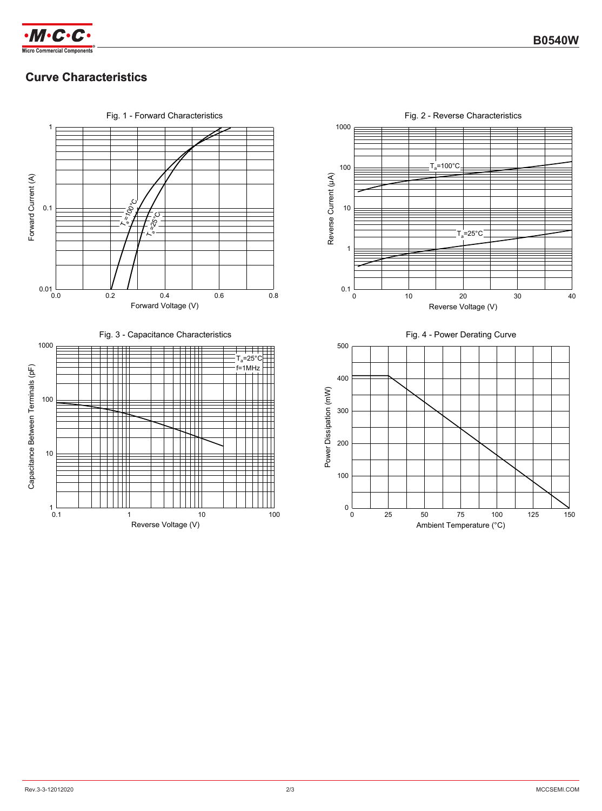

# **Curve Characteristics**



Fig. 2 - Reverse Characteristics 1000  $T_a$ =100°C 100 Reverse Current (µA) Reverse Current (μA) 10  $=25^{\circ}C$ 1  $0.1 \frac{L}{0}$ 20 0 10 20 30 40 Reverse Voltage (V) Fig. 4 - Power Derating Curve 500

0 25 50 75 100 125 150

50 75 100 Ambient Temperature (°C)

Power Dissipation (mW)

Power Dissipation (mW)

 $0<sub>0</sub><sup>L</sup>$ 

100

200

300

400